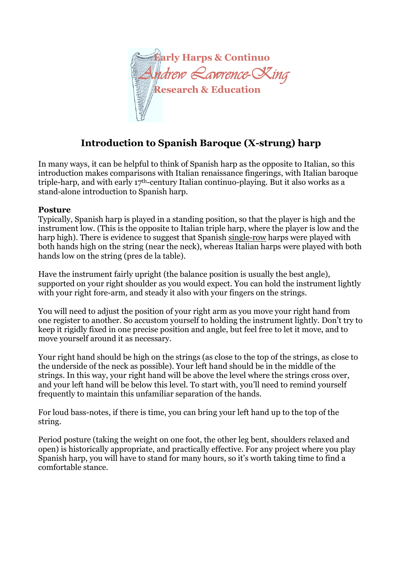

# **Introduction to Spanish Baroque (X-strung) harp**

In many ways, it can be helpful to think of Spanish harp as the opposite to Italian, so this introduction makes comparisons with Italian renaissance fingerings, with Italian baroque triple-harp, and with early 17th-century Italian continuo-playing. But it also works as a stand-alone introduction to Spanish harp.

#### **Posture**

Typically, Spanish harp is played in a standing position, so that the player is high and the instrument low. (This is the opposite to Italian triple harp, where the player is low and the harp high). There is evidence to suggest that Spanish single-row harps were played with both hands high on the string (near the neck), whereas Italian harps were played with both hands low on the string (pres de la table).

Have the instrument fairly upright (the balance position is usually the best angle), supported on your right shoulder as you would expect. You can hold the instrument lightly with your right fore-arm, and steady it also with your fingers on the strings.

You will need to adjust the position of your right arm as you move your right hand from one register to another. So accustom yourself to holding the instrument lightly. Don't try to keep it rigidly fixed in one precise position and angle, but feel free to let it move, and to move yourself around it as necessary.

Your right hand should be high on the strings (as close to the top of the strings, as close to the underside of the neck as possible). Your left hand should be in the middle of the strings. In this way, your right hand will be above the level where the strings cross over, and your left hand will be below this level. To start with, you'll need to remind yourself frequently to maintain this unfamiliar separation of the hands.

For loud bass-notes, if there is time, you can bring your left hand up to the top of the string.

Period posture (taking the weight on one foot, the other leg bent, shoulders relaxed and open) is historically appropriate, and practically effective. For any project where you play Spanish harp, you will have to stand for many hours, so it's worth taking time to find a comfortable stance.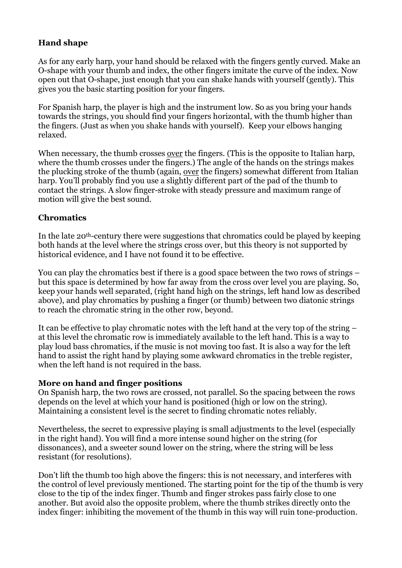# **Hand shape**

As for any early harp, your hand should be relaxed with the fingers gently curved. Make an O-shape with your thumb and index, the other fingers imitate the curve of the index. Now open out that O-shape, just enough that you can shake hands with yourself (gently). This gives you the basic starting position for your fingers.

For Spanish harp, the player is high and the instrument low. So as you bring your hands towards the strings, you should find your fingers horizontal, with the thumb higher than the fingers. (Just as when you shake hands with yourself). Keep your elbows hanging relaxed.

When necessary, the thumb crosses over the fingers. (This is the opposite to Italian harp, where the thumb crosses under the fingers.) The angle of the hands on the strings makes the plucking stroke of the thumb (again, over the fingers) somewhat different from Italian harp. You'll probably find you use a slightly different part of the pad of the thumb to contact the strings. A slow finger-stroke with steady pressure and maximum range of motion will give the best sound.

#### **Chromatics**

In the late 20th-century there were suggestions that chromatics could be played by keeping both hands at the level where the strings cross over, but this theory is not supported by historical evidence, and I have not found it to be effective.

You can play the chromatics best if there is a good space between the two rows of strings – but this space is determined by how far away from the cross over level you are playing. So, keep your hands well separated, (right hand high on the strings, left hand low as described above), and play chromatics by pushing a finger (or thumb) between two diatonic strings to reach the chromatic string in the other row, beyond.

It can be effective to play chromatic notes with the left hand at the very top of the string – at this level the chromatic row is immediately available to the left hand. This is a way to play loud bass chromatics, if the music is not moving too fast. It is also a way for the left hand to assist the right hand by playing some awkward chromatics in the treble register, when the left hand is not required in the bass.

#### **More on hand and finger positions**

On Spanish harp, the two rows are crossed, not parallel. So the spacing between the rows depends on the level at which your hand is positioned (high or low on the string). Maintaining a consistent level is the secret to finding chromatic notes reliably.

Nevertheless, the secret to expressive playing is small adjustments to the level (especially in the right hand). You will find a more intense sound higher on the string (for dissonances), and a sweeter sound lower on the string, where the string will be less resistant (for resolutions).

Don't lift the thumb too high above the fingers: this is not necessary, and interferes with the control of level previously mentioned. The starting point for the tip of the thumb is very close to the tip of the index finger. Thumb and finger strokes pass fairly close to one another. But avoid also the opposite problem, where the thumb strikes directly onto the index finger: inhibiting the movement of the thumb in this way will ruin tone-production.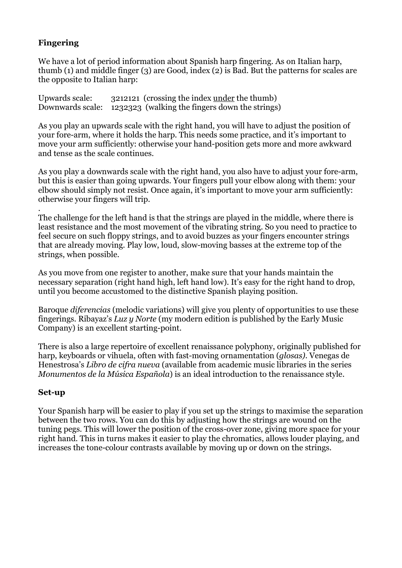# **Fingering**

We have a lot of period information about Spanish harp fingering. As on Italian harp, thumb (1) and middle finger (3) are Good, index (2) is Bad. But the patterns for scales are the opposite to Italian harp:

| Upwards scale: | 3212121 (crossing the index <u>under</u> the thumb)             |
|----------------|-----------------------------------------------------------------|
|                | Downwards scale: 1232323 (walking the fingers down the strings) |

As you play an upwards scale with the right hand, you will have to adjust the position of your fore-arm, where it holds the harp. This needs some practice, and it's important to move your arm sufficiently: otherwise your hand-position gets more and more awkward and tense as the scale continues.

As you play a downwards scale with the right hand, you also have to adjust your fore-arm, but this is easier than going upwards. Your fingers pull your elbow along with them: your elbow should simply not resist. Once again, it's important to move your arm sufficiently: otherwise your fingers will trip.

. The challenge for the left hand is that the strings are played in the middle, where there is least resistance and the most movement of the vibrating string. So you need to practice to feel secure on such floppy strings, and to avoid buzzes as your fingers encounter strings that are already moving. Play low, loud, slow-moving basses at the extreme top of the strings, when possible.

As you move from one register to another, make sure that your hands maintain the necessary separation (right hand high, left hand low). It's easy for the right hand to drop, until you become accustomed to the distinctive Spanish playing position.

Baroque *diferencias* (melodic variations) will give you plenty of opportunities to use these fingerings. Ribayaz's *Luz y Norte* (my modern edition is published by the Early Music Company) is an excellent starting-point.

There is also a large repertoire of excellent renaissance polyphony, originally published for harp, keyboards or vihuela, often with fast-moving ornamentation (*glosas).* Venegas de Henestrosa's *Libro de cifra nueva* (available from academic music libraries in the series *Monumentos de la Música Española*) is an ideal introduction to the renaissance style.

#### **Set-up**

Your Spanish harp will be easier to play if you set up the strings to maximise the separation between the two rows. You can do this by adjusting how the strings are wound on the tuning pegs. This will lower the position of the cross-over zone, giving more space for your right hand. This in turns makes it easier to play the chromatics, allows louder playing, and increases the tone-colour contrasts available by moving up or down on the strings.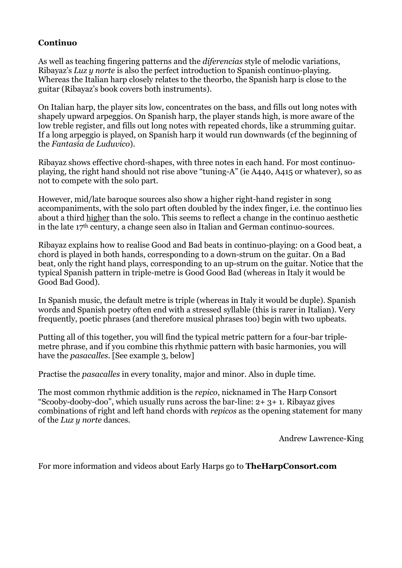### **Continuo**

As well as teaching fingering patterns and the *diferencias* style of melodic variations, Ribayaz's *Luz y norte* is also the perfect introduction to Spanish continuo-playing. Whereas the Italian harp closely relates to the theorbo, the Spanish harp is close to the guitar (Ribayaz's book covers both instruments).

On Italian harp, the player sits low, concentrates on the bass, and fills out long notes with shapely upward arpeggios. On Spanish harp, the player stands high, is more aware of the low treble register, and fills out long notes with repeated chords, like a strumming guitar. If a long arpeggio is played, on Spanish harp it would run downwards (cf the beginning of the *Fantasía de Luduvico*).

Ribayaz shows effective chord-shapes, with three notes in each hand. For most continuoplaying, the right hand should not rise above "tuning-A" (ie A440, A415 or whatever), so as not to compete with the solo part.

However, mid/late baroque sources also show a higher right-hand register in song accompaniments, with the solo part often doubled by the index finger, i.e. the continuo lies about a third higher than the solo. This seems to reflect a change in the continuo aesthetic in the late 17th century, a change seen also in Italian and German continuo-sources.

Ribayaz explains how to realise Good and Bad beats in continuo-playing: on a Good beat, a chord is played in both hands, corresponding to a down-strum on the guitar. On a Bad beat, only the right hand plays, corresponding to an up-strum on the guitar. Notice that the typical Spanish pattern in triple-metre is Good Good Bad (whereas in Italy it would be Good Bad Good).

In Spanish music, the default metre is triple (whereas in Italy it would be duple). Spanish words and Spanish poetry often end with a stressed syllable (this is rarer in Italian). Very frequently, poetic phrases (and therefore musical phrases too) begin with two upbeats.

Putting all of this together, you will find the typical metric pattern for a four-bar triplemetre phrase, and if you combine this rhythmic pattern with basic harmonies, you will have the *pasacalles*. [See example 3, below]

Practise the *pasacalles* in every tonality, major and minor. Also in duple time.

The most common rhythmic addition is the *repico*, nicknamed in The Harp Consort "Scooby-dooby-doo", which usually runs across the bar-line: 2+ 3+ 1. Ribayaz gives combinations of right and left hand chords with *repicos* as the opening statement for many of the *Luz y norte* dances.

Andrew Lawrence-King

For more information and videos about Early Harps go to **TheHarpConsort.com**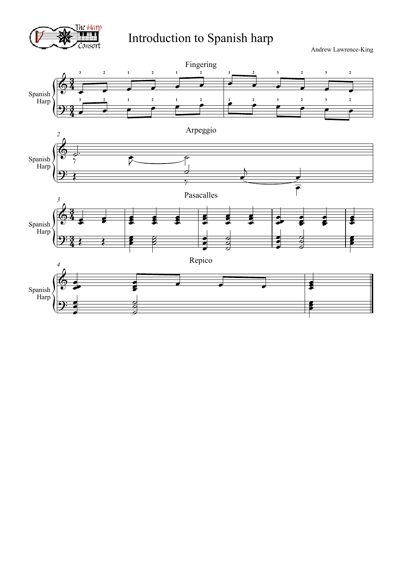

# Introduction to Spanish harp

Andrew Lawrence-King